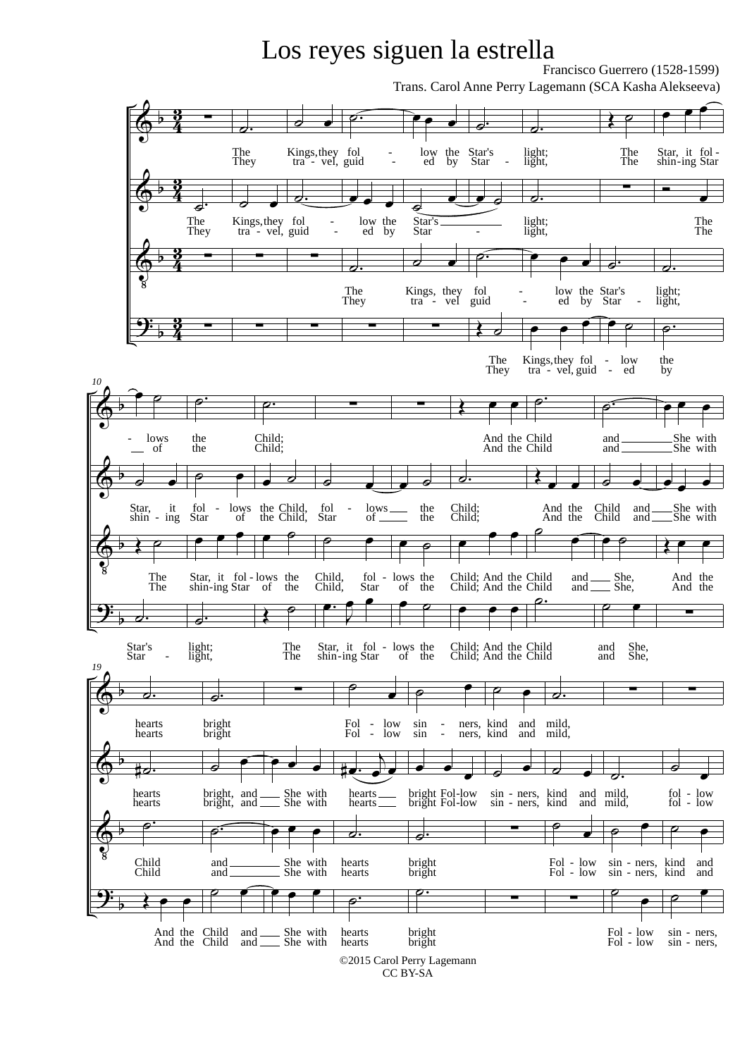## Los reyes siguen la estrella

Francisco Guerrero (1528-1599)

Trans. Carol Anne Perry Lagemann (SCA Kasha Alekseeva)